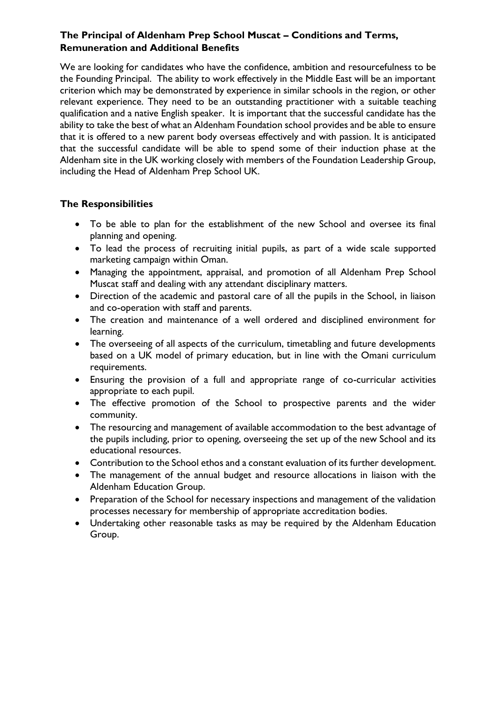## **The Principal of Aldenham Prep School Muscat – Conditions and Terms, Remuneration and Additional Benefits**

We are looking for candidates who have the confidence, ambition and resourcefulness to be the Founding Principal. The ability to work effectively in the Middle East will be an important criterion which may be demonstrated by experience in similar schools in the region, or other relevant experience. They need to be an outstanding practitioner with a suitable teaching qualification and a native English speaker. It is important that the successful candidate has the ability to take the best of what an Aldenham Foundation school provides and be able to ensure that it is offered to a new parent body overseas effectively and with passion. It is anticipated that the successful candidate will be able to spend some of their induction phase at the Aldenham site in the UK working closely with members of the Foundation Leadership Group, including the Head of Aldenham Prep School UK.

## **The Responsibilities**

- To be able to plan for the establishment of the new School and oversee its final planning and opening.
- To lead the process of recruiting initial pupils, as part of a wide scale supported marketing campaign within Oman.
- Managing the appointment, appraisal, and promotion of all Aldenham Prep School Muscat staff and dealing with any attendant disciplinary matters.
- Direction of the academic and pastoral care of all the pupils in the School, in liaison and co-operation with staff and parents.
- The creation and maintenance of a well ordered and disciplined environment for learning.
- The overseeing of all aspects of the curriculum, timetabling and future developments based on a UK model of primary education, but in line with the Omani curriculum requirements.
- Ensuring the provision of a full and appropriate range of co-curricular activities appropriate to each pupil.
- The effective promotion of the School to prospective parents and the wider community.
- The resourcing and management of available accommodation to the best advantage of the pupils including, prior to opening, overseeing the set up of the new School and its educational resources.
- Contribution to the School ethos and a constant evaluation of its further development.
- The management of the annual budget and resource allocations in liaison with the Aldenham Education Group.
- Preparation of the School for necessary inspections and management of the validation processes necessary for membership of appropriate accreditation bodies.
- Undertaking other reasonable tasks as may be required by the Aldenham Education Group.